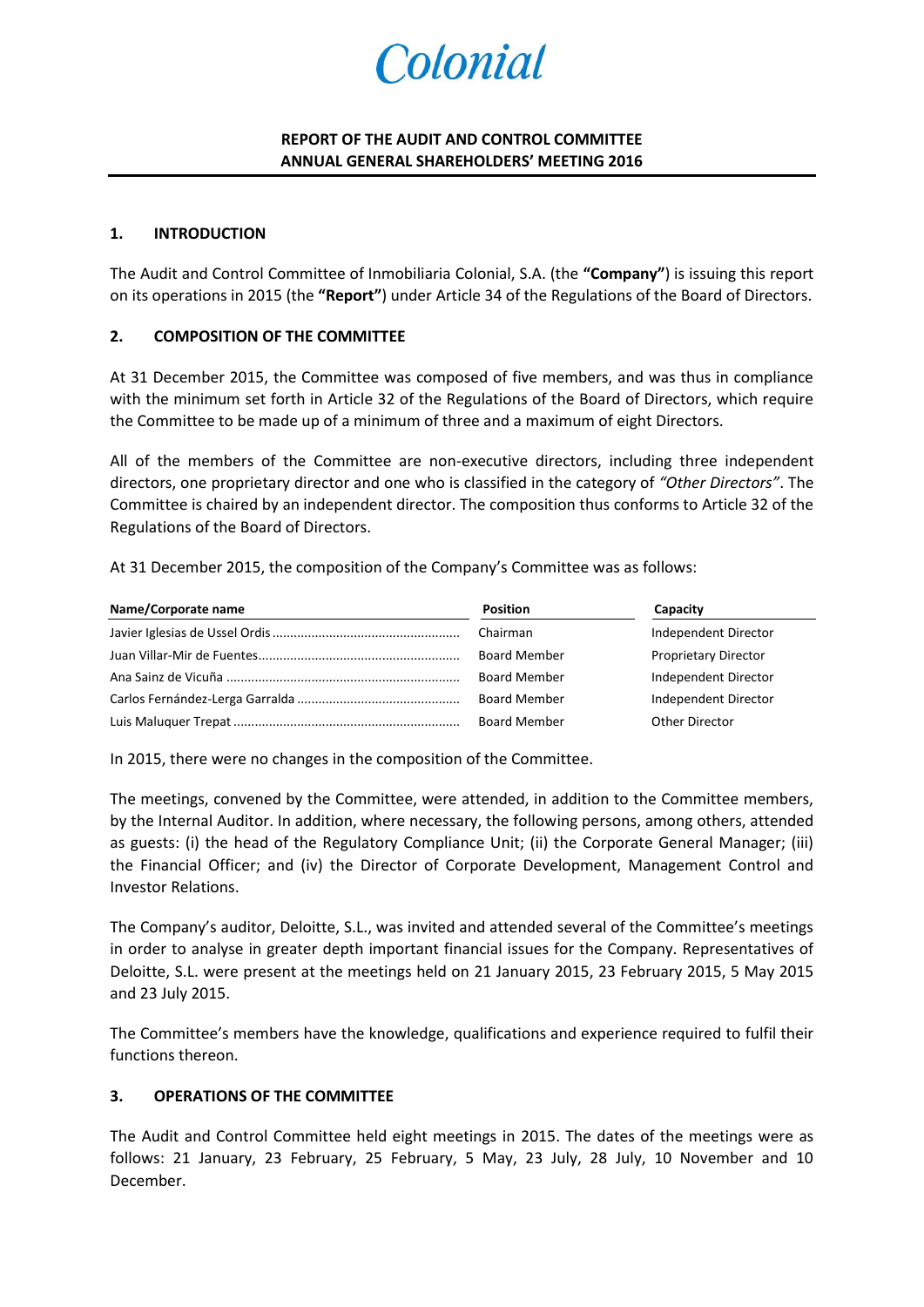# Colonial

## **REPORT OF THE AUDIT AND CONTROL COMMITTEE ANNUAL GENERAL SHAREHOLDERS' MEETING 2016**

#### **1. INTRODUCTION**

The Audit and Control Committee of Inmobiliaria Colonial, S.A. (the **"Company"**) is issuing this report on its operations in 2015 (the **"Report"**) under Article 34 of the Regulations of the Board of Directors.

#### **2. COMPOSITION OF THE COMMITTEE**

At 31 December 2015, the Committee was composed of five members, and was thus in compliance with the minimum set forth in Article 32 of the Regulations of the Board of Directors, which require the Committee to be made up of a minimum of three and a maximum of eight Directors.

All of the members of the Committee are non-executive directors, including three independent directors, one proprietary director and one who is classified in the category of *"Other Directors"*. The Committee is chaired by an independent director. The composition thus conforms to Article 32 of the Regulations of the Board of Directors.

At 31 December 2015, the composition of the Company's Committee was as follows:

| Name/Corporate name | <b>Position</b>     | Capacity                    |
|---------------------|---------------------|-----------------------------|
|                     | Chairman            | Independent Director        |
|                     | <b>Board Member</b> | <b>Proprietary Director</b> |
|                     | <b>Board Member</b> | Independent Director        |
|                     | <b>Board Member</b> | Independent Director        |
|                     | <b>Board Member</b> | Other Director              |

In 2015, there were no changes in the composition of the Committee.

The meetings, convened by the Committee, were attended, in addition to the Committee members, by the Internal Auditor. In addition, where necessary, the following persons, among others, attended as guests: (i) the head of the Regulatory Compliance Unit; (ii) the Corporate General Manager; (iii) the Financial Officer; and (iv) the Director of Corporate Development, Management Control and Investor Relations.

The Company's auditor, Deloitte, S.L., was invited and attended several of the Committee's meetings in order to analyse in greater depth important financial issues for the Company. Representatives of Deloitte, S.L. were present at the meetings held on 21 January 2015, 23 February 2015, 5 May 2015 and 23 July 2015.

The Committee's members have the knowledge, qualifications and experience required to fulfil their functions thereon.

### **3. OPERATIONS OF THE COMMITTEE**

The Audit and Control Committee held eight meetings in 2015. The dates of the meetings were as follows: 21 January, 23 February, 25 February, 5 May, 23 July, 28 July, 10 November and 10 December.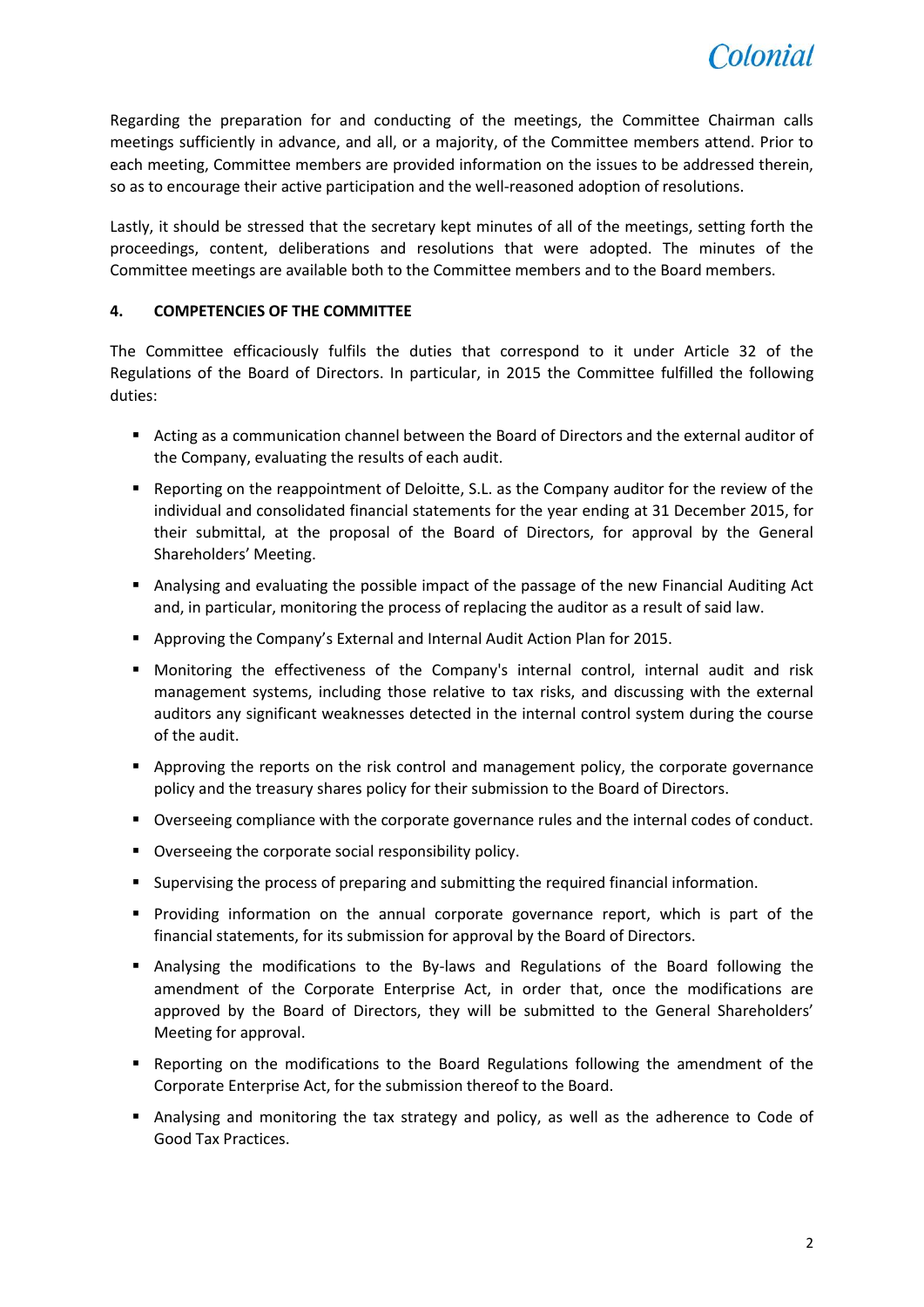

Regarding the preparation for and conducting of the meetings, the Committee Chairman calls meetings sufficiently in advance, and all, or a majority, of the Committee members attend. Prior to each meeting, Committee members are provided information on the issues to be addressed therein, so as to encourage their active participation and the well-reasoned adoption of resolutions.

Lastly, it should be stressed that the secretary kept minutes of all of the meetings, setting forth the proceedings, content, deliberations and resolutions that were adopted. The minutes of the Committee meetings are available both to the Committee members and to the Board members.

## **4. COMPETENCIES OF THE COMMITTEE**

The Committee efficaciously fulfils the duties that correspond to it under Article 32 of the Regulations of the Board of Directors. In particular, in 2015 the Committee fulfilled the following duties:

- Acting as a communication channel between the Board of Directors and the external auditor of the Company, evaluating the results of each audit.
- **•** Reporting on the reappointment of Deloitte, S.L. as the Company auditor for the review of the individual and consolidated financial statements for the year ending at 31 December 2015, for their submittal, at the proposal of the Board of Directors, for approval by the General Shareholders' Meeting.
- Analysing and evaluating the possible impact of the passage of the new Financial Auditing Act and, in particular, monitoring the process of replacing the auditor as a result of said law.
- Approving the Company's External and Internal Audit Action Plan for 2015.
- Monitoring the effectiveness of the Company's internal control, internal audit and risk management systems, including those relative to tax risks, and discussing with the external auditors any significant weaknesses detected in the internal control system during the course of the audit.
- Approving the reports on the risk control and management policy, the corporate governance policy and the treasury shares policy for their submission to the Board of Directors.
- Overseeing compliance with the corporate governance rules and the internal codes of conduct.
- **•** Overseeing the corporate social responsibility policy.
- Supervising the process of preparing and submitting the required financial information.
- Providing information on the annual corporate governance report, which is part of the financial statements, for its submission for approval by the Board of Directors.
- Analysing the modifications to the By-laws and Regulations of the Board following the amendment of the Corporate Enterprise Act, in order that, once the modifications are approved by the Board of Directors, they will be submitted to the General Shareholders' Meeting for approval.
- **•** Reporting on the modifications to the Board Regulations following the amendment of the Corporate Enterprise Act, for the submission thereof to the Board.
- Analysing and monitoring the tax strategy and policy, as well as the adherence to Code of Good Tax Practices.